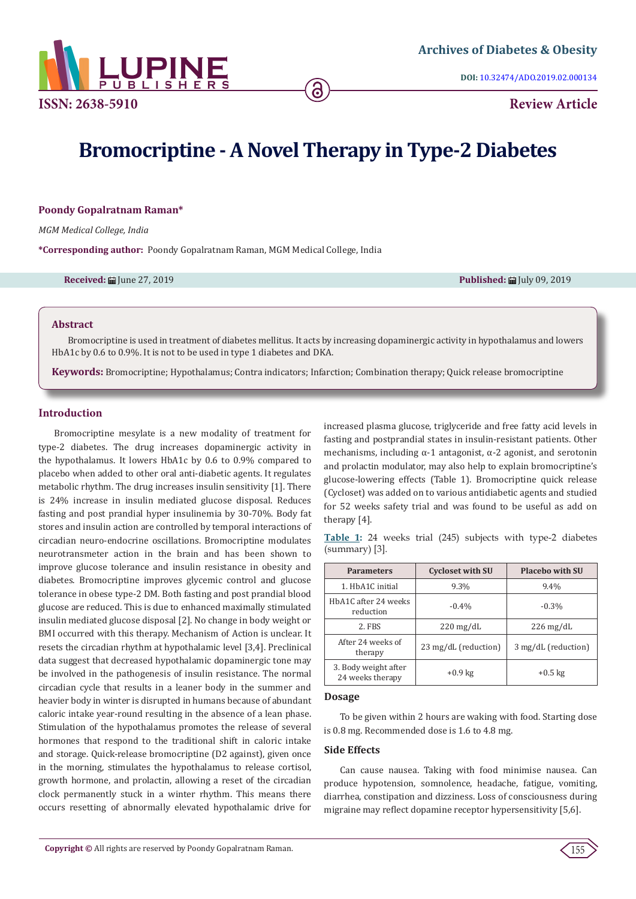

**DOI:** [10.32474/ADO.2019.02.000134](http://dx.doi.org/10.32474/ADO.2019.02.000134)

# **Bromocriptine - A Novel Therapy in Type-2 Diabetes**

# **Poondy Gopalratnam Raman\***

*MGM Medical College, India*

**\*Corresponding author:** Poondy Gopalratnam Raman, MGM Medical College, India

**Received:** June 27, 2019 **Published:** July 09, 2019

#### **Abstract**

Bromocriptine is used in treatment of diabetes mellitus. It acts by increasing dopaminergic activity in hypothalamus and lowers HbA1c by 0.6 to 0.9%. It is not to be used in type 1 diabetes and DKA.

**Keywords:** Bromocriptine; Hypothalamus; Contra indicators; Infarction; Combination therapy; Quick release bromocriptine

# **Introduction**

Bromocriptine mesylate is a new modality of treatment for type-2 diabetes. The drug increases dopaminergic activity in the hypothalamus. It lowers HbA1c by 0.6 to 0.9% compared to placebo when added to other oral anti-diabetic agents. It regulates metabolic rhythm. The drug increases insulin sensitivity [1]. There is 24% increase in insulin mediated glucose disposal. Reduces fasting and post prandial hyper insulinemia by 30-70%. Body fat stores and insulin action are controlled by temporal interactions of circadian neuro-endocrine oscillations. Bromocriptine modulates neurotransmeter action in the brain and has been shown to improve glucose tolerance and insulin resistance in obesity and diabetes. Bromocriptine improves glycemic control and glucose tolerance in obese type-2 DM. Both fasting and post prandial blood glucose are reduced. This is due to enhanced maximally stimulated insulin mediated glucose disposal [2]. No change in body weight or BMI occurred with this therapy. Mechanism of Action is unclear. It resets the circadian rhythm at hypothalamic level [3,4]. Preclinical data suggest that decreased hypothalamic dopaminergic tone may be involved in the pathogenesis of insulin resistance. The normal circadian cycle that results in a leaner body in the summer and heavier body in winter is disrupted in humans because of abundant caloric intake year-round resulting in the absence of a lean phase. Stimulation of the hypothalamus promotes the release of several hormones that respond to the traditional shift in caloric intake and storage. Quick-release bromocriptine (D2 against), given once in the morning, stimulates the hypothalamus to release cortisol, growth hormone, and prolactin, allowing a reset of the circadian clock permanently stuck in a winter rhythm. This means there occurs resetting of abnormally elevated hypothalamic drive for increased plasma glucose, triglyceride and free fatty acid levels in fasting and postprandial states in insulin-resistant patients. Other mechanisms, including  $\alpha$ -1 antagonist,  $\alpha$ -2 agonist, and serotonin and prolactin modulator, may also help to explain bromocriptine's glucose-lowering effects (Table 1). Bromocriptine quick release (Cycloset) was added on to various antidiabetic agents and studied for 52 weeks safety trial and was found to be useful as add on therapy [4].

|                |  |  |  |  | Table 1: 24 weeks trial (245) subjects with type-2 diabetes |
|----------------|--|--|--|--|-------------------------------------------------------------|
| (summary) [3]. |  |  |  |  |                                                             |

| <b>Parameters</b>                        | <b>Cycloset with SU</b> | <b>Placebo with SU</b> |
|------------------------------------------|-------------------------|------------------------|
| 1. HbA1C initial                         | 9.3%                    | 9.4%                   |
| HbA1C after 24 weeks<br>reduction        | $-0.4%$                 | $-0.3\%$               |
| 2. FBS                                   | $220 \,\mathrm{mg/dL}$  | $226 \,\mathrm{mg/dL}$ |
| After 24 weeks of<br>therapy             | 23 mg/dL (reduction)    | 3 mg/dL (reduction)    |
| 3. Body weight after<br>24 weeks therapy | $+0.9$ kg               | $+0.5$ kg              |

#### **Dosage**

To be given within 2 hours are waking with food. Starting dose is 0.8 mg. Recommended dose is 1.6 to 4.8 mg.

# **Side Effects**

Can cause nausea. Taking with food minimise nausea. Can produce hypotension, somnolence, headache, fatigue, vomiting, diarrhea, constipation and dizziness. Loss of consciousness during migraine may reflect dopamine receptor hypersensitivity [5,6].